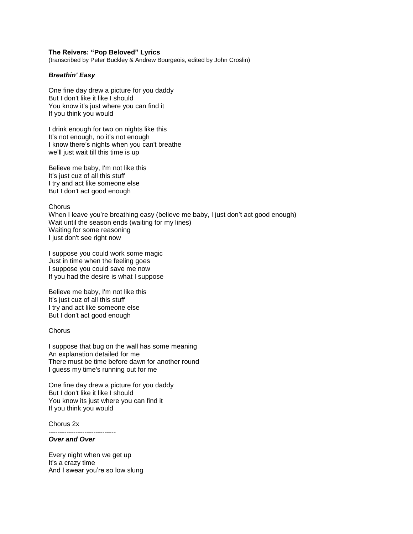## **The Reivers: "Pop Beloved" Lyrics**

(transcribed by Peter Buckley & Andrew Bourgeois, edited by John Croslin)

## *Breathin' Easy*

One fine day drew a picture for you daddy But I don't like it like I should You know it's just where you can find it If you think you would

I drink enough for two on nights like this It's not enough, no it's not enough I know there's nights when you can't breathe we'll just wait till this time is up

Believe me baby, I'm not like this It's just cuz of all this stuff I try and act like someone else But I don't act good enough

**Chorus** 

When I leave you're breathing easy (believe me baby, I just don't act good enough) Wait until the season ends (waiting for my lines) Waiting for some reasoning I just don't see right now

I suppose you could work some magic Just in time when the feeling goes I suppose you could save me now If you had the desire is what I suppose

Believe me baby, I'm not like this It's just cuz of all this stuff I try and act like someone else But I don't act good enough

#### **Chorus**

I suppose that bug on the wall has some meaning An explanation detailed for me There must be time before dawn for another round I guess my time's running out for me

One fine day drew a picture for you daddy But I don't like it like I should You know its just where you can find it If you think you would

Chorus 2x

------------------------------

# *Over and Over*

Every night when we get up It's a crazy time And I swear you're so low slung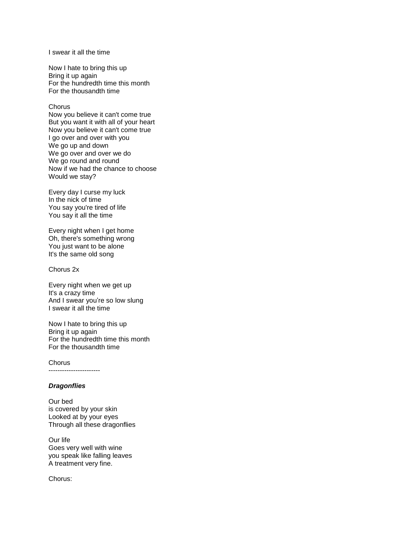I swear it all the time

Now I hate to bring this up Bring it up again For the hundredth time this month For the thousandth time

#### **Chorus**

Now you believe it can't come true But you want it with all of your heart Now you believe it can't come true I go over and over with you We go up and down We go over and over we do We go round and round Now if we had the chance to choose Would we stay?

Every day I curse my luck In the nick of time You say you're tired of life You say it all the time

Every night when I get home Oh, there's something wrong You just want to be alone It's the same old song

Chorus 2x

Every night when we get up It's a crazy time And I swear you're so low slung I swear it all the time

Now I hate to bring this up Bring it up again For the hundredth time this month For the thousandth time

Chorus

-----------------------

# *Dragonflies*

Our bed is covered by your skin Looked at by your eyes Through all these dragonflies

Our life Goes very well with wine you speak like falling leaves A treatment very fine.

Chorus: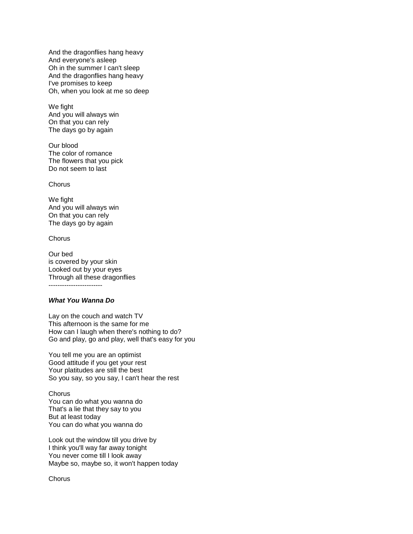And the dragonflies hang heavy And everyone's asleep Oh in the summer I can't sleep And the dragonflies hang heavy I've promises to keep Oh, when you look at me so deep

We fight And you will always win On that you can rely The days go by again

Our blood The color of romance The flowers that you pick Do not seem to last

**Chorus** 

We fight And you will always win On that you can rely The days go by again

Chorus

Our bed is covered by your skin Looked out by your eyes Through all these dragonflies ------------------------

# *What You Wanna Do*

Lay on the couch and watch TV This afternoon is the same for me How can I laugh when there's nothing to do? Go and play, go and play, well that's easy for you

You tell me you are an optimist Good attitude if you get your rest Your platitudes are still the best So you say, so you say, I can't hear the rest

**Chorus** You can do what you wanna do That's a lie that they say to you But at least today You can do what you wanna do

Look out the window till you drive by I think you'll way far away tonight You never come till I look away Maybe so, maybe so, it won't happen today

**Chorus**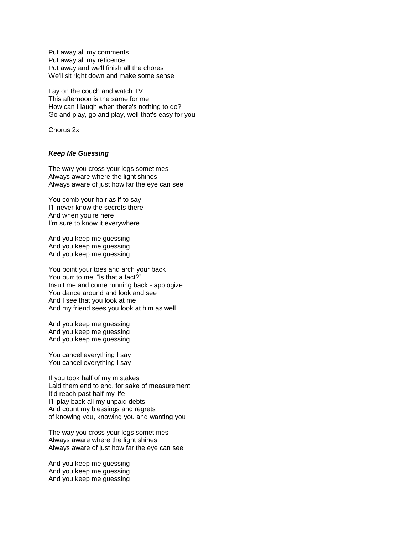Put away all my comments Put away all my reticence Put away and we'll finish all the chores We'll sit right down and make some sense

Lay on the couch and watch TV This afternoon is the same for me How can I laugh when there's nothing to do? Go and play, go and play, well that's easy for you

Chorus 2x

-------------

# *Keep Me Guessing*

The way you cross your legs sometimes Always aware where the light shines Always aware of just how far the eye can see

You comb your hair as if to say I'll never know the secrets there And when you're here I'm sure to know it everywhere

And you keep me guessing And you keep me guessing And you keep me guessing

You point your toes and arch your back You purr to me, "is that a fact?" Insult me and come running back - apologize You dance around and look and see And I see that you look at me And my friend sees you look at him as well

And you keep me guessing And you keep me guessing And you keep me guessing

You cancel everything I say You cancel everything I say

If you took half of my mistakes Laid them end to end, for sake of measurement It'd reach past half my life I'll play back all my unpaid debts And count my blessings and regrets of knowing you, knowing you and wanting you

The way you cross your legs sometimes Always aware where the light shines Always aware of just how far the eye can see

And you keep me guessing And you keep me guessing And you keep me guessing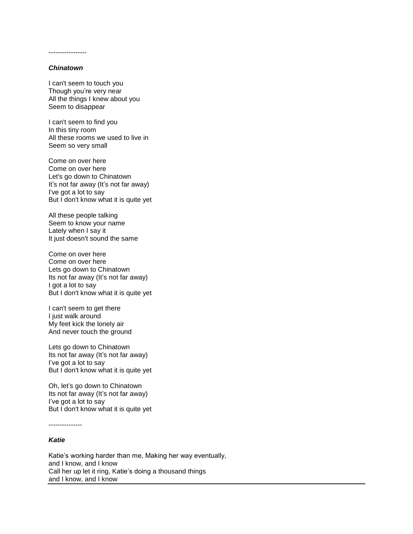-----------------

## *Chinatown*

I can't seem to touch you Though you're very near All the things I knew about you Seem to disappear

I can't seem to find you In this tiny room All these rooms we used to live in Seem so very small

Come on over here Come on over here Let's go down to Chinatown It's not far away (It's not far away) I've got a lot to say But I don't know what it is quite yet

All these people talking Seem to know your name Lately when I say it It just doesn't sound the same

Come on over here Come on over here Lets go down to Chinatown Its not far away (It's not far away) I got a lot to say But I don't know what it is quite yet

I can't seem to get there I just walk around My feet kick the lonely air And never touch the ground

Lets go down to Chinatown Its not far away (It's not far away) I've got a lot to say But I don't know what it is quite yet

Oh, let's go down to Chinatown Its not far away (It's not far away) I've got a lot to say But I don't know what it is quite yet

---------------

# *Katie*

Katie's working harder than me, Making her way eventually, and I know, and I know Call her up let it ring, Katie's doing a thousand things and I know, and I know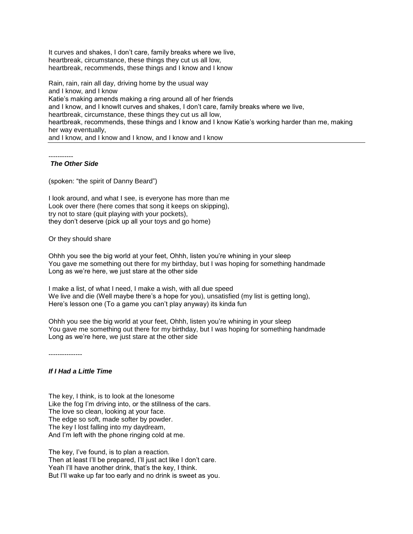It curves and shakes, I don't care, family breaks where we live, heartbreak, circumstance, these things they cut us all low, heartbreak, recommends, these things and I know and I know

Rain, rain, rain all day, driving home by the usual way and I know, and I know Katie's making amends making a ring around all of her friends and I know, and I knowIt curves and shakes, I don't care, family breaks where we live, heartbreak, circumstance, these things they cut us all low, heartbreak, recommends, these things and I know and I know Katie's working harder than me, making her way eventually, and I know, and I know and I know, and I know and I know

-----------

## *The Other Side*

(spoken: "the spirit of Danny Beard")

I look around, and what I see, is everyone has more than me Look over there (here comes that song it keeps on skipping), try not to stare (quit playing with your pockets), they don't deserve (pick up all your toys and go home)

Or they should share

Ohhh you see the big world at your feet, Ohhh, listen you're whining in your sleep You gave me something out there for my birthday, but I was hoping for something handmade Long as we're here, we just stare at the other side

I make a list, of what I need, I make a wish, with all due speed We live and die (Well maybe there's a hope for you), unsatisfied (my list is getting long), Here's lesson one (To a game you can't play anyway) its kinda fun

Ohhh you see the big world at your feet, Ohhh, listen you're whining in your sleep You gave me something out there for my birthday, but I was hoping for something handmade Long as we're here, we just stare at the other side

---------------

# *If I Had a Little Time*

The key, I think, is to look at the lonesome Like the fog I'm driving into, or the stillness of the cars. The love so clean, looking at your face. The edge so soft, made softer by powder. The key I lost falling into my daydream, And I'm left with the phone ringing cold at me.

The key, I've found, is to plan a reaction. Then at least I'll be prepared, I'll just act like I don't care. Yeah I'll have another drink, that's the key, I think. But I'll wake up far too early and no drink is sweet as you.